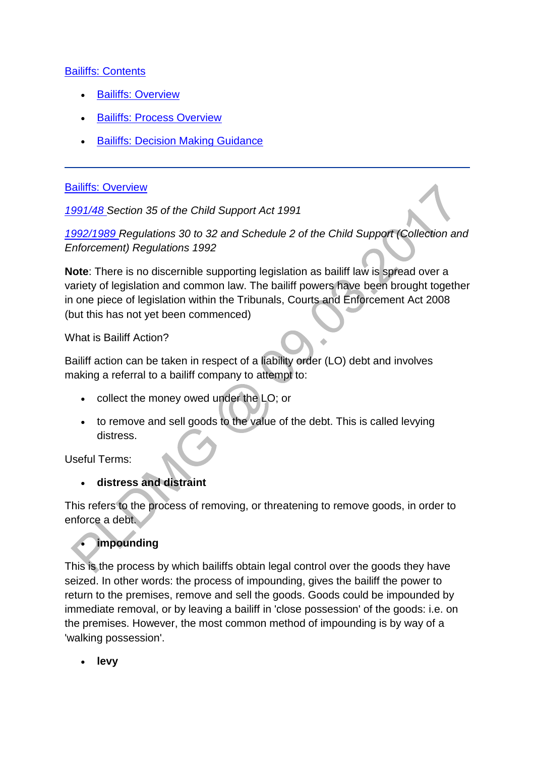### [Bailiffs: Contents](http://np-cmg-sharepoint.link2.gpn.gov.uk/sites/policy-law-and-decision-making-guidance/Pages/Legal%20Enforcement%20-%20England%20and%20Wales/Bailiffs.aspx?ControlMode=Edit&DisplayMode=Design)

- [Bailiffs: Overview](http://np-cmg-sharepoint.link2.gpn.gov.uk/sites/policy-law-and-decision-making-guidance/Pages/Legal%20Enforcement%20-%20England%20and%20Wales/Bailiffs.aspx#baliffsoverview)
- [Bailiffs: Process Overview](http://np-cmg-sharepoint.link2.gpn.gov.uk/sites/policy-law-and-decision-making-guidance/Pages/Legal%20Enforcement%20-%20England%20and%20Wales/Bailiffs.aspx#bailiffsprocessoverview)
- [Bailiffs: Decision Making Guidance](http://np-cmg-sharepoint.link2.gpn.gov.uk/sites/policy-law-and-decision-making-guidance/Pages/Legal%20Enforcement%20-%20England%20and%20Wales/Bailiffs.aspx#bailiffsdmg)

### [Bailiffs: Overview](http://np-cmg-sharepoint.link2.gpn.gov.uk/sites/policy-law-and-decision-making-guidance/Pages/Legal%20Enforcement%20-%20England%20and%20Wales/Bailiffs.aspx)

*[1991/48 S](http://www.legislation.gov.uk/1991/48)ection 35 of the Child Support Act 1991*

*[1992/1989 R](http://www.legislation.gov.uk/uksi/1992/1989)egulations 30 to 32 and Schedule 2 of the Child Support (Collection and Enforcement) Regulations 1992*

**Note**: There is no discernible supporting legislation as bailiff law is spread over a variety of legislation and common law. The bailiff powers have been brought together in one piece of legislation within the Tribunals, Courts and Enforcement Act 2008 (but this has not yet been commenced)

What is Bailiff Action?

Bailiff action can be taken in respect of a liability order (LO) debt and involves making a referral to a bailiff company to attempt to:

- collect the money owed under the LO; or
- to remove and sell goods to the value of the debt. This is called levying distress.

Useful Terms:

**distress and distraint**

This refers to the process of removing, or threatening to remove goods, in order to enforce a debt.

# **impounding**

This is the process by which bailiffs obtain legal control over the goods they have seized. In other words: the process of impounding, gives the bailiff the power to return to the premises, remove and sell the goods. Goods could be impounded by immediate removal, or by leaving a bailiff in 'close possession' of the goods: i.e. on the premises. However, the most common method of impounding is by way of a 'walking possession'.

**levy**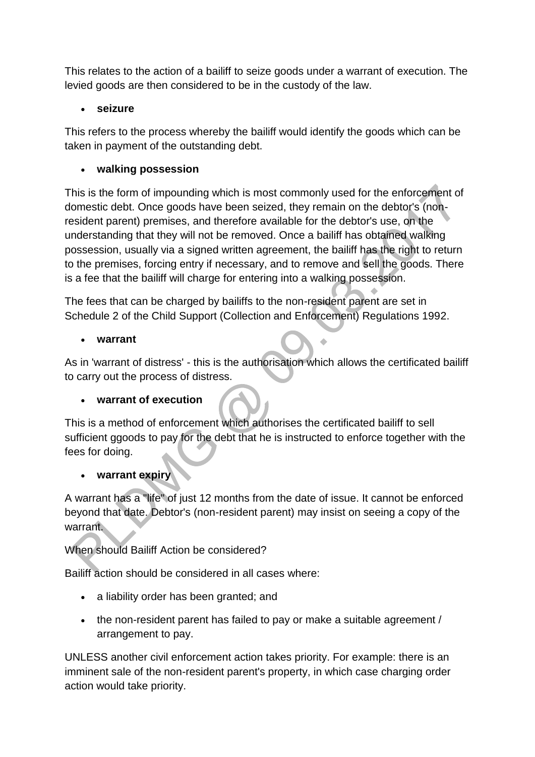This relates to the action of a bailiff to seize goods under a warrant of execution. The levied goods are then considered to be in the custody of the law.

# **seizure**

This refers to the process whereby the bailiff would identify the goods which can be taken in payment of the outstanding debt.

# **walking possession**

This is the form of impounding which is most commonly used for the enforcement of domestic debt. Once goods have been seized, they remain on the debtor's (nonresident parent) premises, and therefore available for the debtor's use, on the understanding that they will not be removed. Once a bailiff has obtained walking possession, usually via a signed written agreement, the bailiff has the right to return to the premises, forcing entry if necessary, and to remove and sell the goods. There is a fee that the bailiff will charge for entering into a walking possession.

The fees that can be charged by bailiffs to the non-resident parent are set in Schedule 2 of the Child Support (Collection and Enforcement) Regulations 1992.

# **warrant**

As in 'warrant of distress' - this is the authorisation which allows the certificated bailiff to carry out the process of distress.

# **warrant of execution**

This is a method of enforcement which authorises the certificated bailiff to sell sufficient ggoods to pay for the debt that he is instructed to enforce together with the fees for doing.

# **warrant expiry**

A warrant has a "life" of just 12 months from the date of issue. It cannot be enforced beyond that date. Debtor's (non-resident parent) may insist on seeing a copy of the warrant.

When should Bailiff Action be considered?

Bailiff action should be considered in all cases where:

- a liability order has been granted; and
- the non-resident parent has failed to pay or make a suitable agreement / arrangement to pay.

UNLESS another civil enforcement action takes priority. For example: there is an imminent sale of the non-resident parent's property, in which case charging order action would take priority.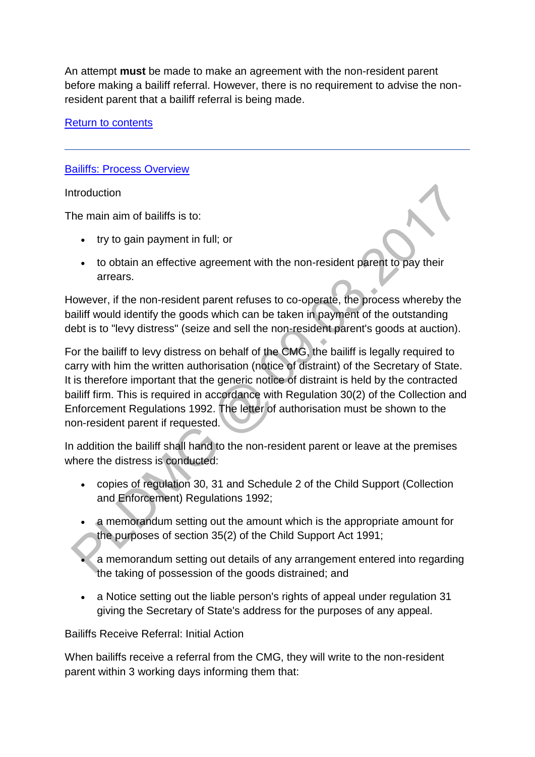An attempt **must** be made to make an agreement with the non-resident parent before making a bailiff referral. However, there is no requirement to advise the nonresident parent that a bailiff referral is being made.

### [Return to contents](http://np-cmg-sharepoint.link2.gpn.gov.uk/sites/policy-law-and-decision-making-guidance/Pages/Legal%20Enforcement%20-%20England%20and%20Wales/Bailiffs.aspx#Bailiffs%3a%20Contents)

#### **[Bailiffs: Process Overview](http://np-cmg-sharepoint.link2.gpn.gov.uk/sites/policy-law-and-decision-making-guidance/Pages/Legal%20Enforcement%20-%20England%20and%20Wales/Bailiffs.aspx)**

Introduction

The main aim of bailiffs is to:

- try to gain payment in full; or
- to obtain an effective agreement with the non-resident parent to pay their arrears.

However, if the non-resident parent refuses to co-operate, the process whereby the bailiff would identify the goods which can be taken in payment of the outstanding debt is to "levy distress" (seize and sell the non-resident parent's goods at auction).

For the bailiff to levy distress on behalf of the CMG, the bailiff is legally required to carry with him the written authorisation (notice of distraint) of the Secretary of State. It is therefore important that the generic notice of distraint is held by the contracted bailiff firm. This is required in accordance with Regulation 30(2) of the Collection and Enforcement Regulations 1992. The letter of authorisation must be shown to the non-resident parent if requested.

In addition the bailiff shall hand to the non-resident parent or leave at the premises where the distress is conducted:

- copies of regulation 30, 31 and Schedule 2 of the Child Support (Collection and Enforcement) Regulations 1992;
- a memorandum setting out the amount which is the appropriate amount for the purposes of section 35(2) of the Child Support Act 1991;
	- a memorandum setting out details of any arrangement entered into regarding the taking of possession of the goods distrained; and
- a Notice setting out the liable person's rights of appeal under regulation 31 giving the Secretary of State's address for the purposes of any appeal.

Bailiffs Receive Referral: Initial Action

When bailiffs receive a referral from the CMG, they will write to the non-resident parent within 3 working days informing them that: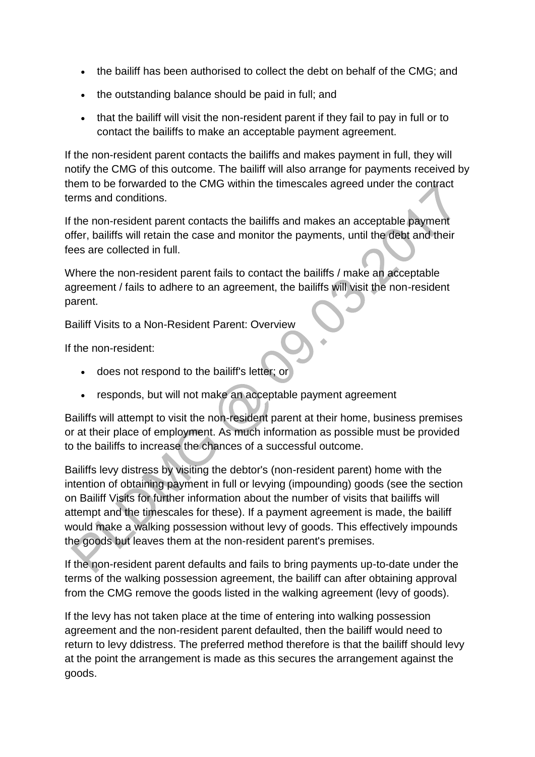- the bailiff has been authorised to collect the debt on behalf of the CMG; and
- the outstanding balance should be paid in full; and
- that the bailiff will visit the non-resident parent if they fail to pay in full or to contact the bailiffs to make an acceptable payment agreement.

If the non-resident parent contacts the bailiffs and makes payment in full, they will notify the CMG of this outcome. The bailiff will also arrange for payments received by them to be forwarded to the CMG within the timescales agreed under the contract terms and conditions.

If the non-resident parent contacts the bailiffs and makes an acceptable payment offer, bailiffs will retain the case and monitor the payments, until the debt and their fees are collected in full.

Where the non-resident parent fails to contact the bailiffs / make an acceptable agreement / fails to adhere to an agreement, the bailiffs will visit the non-resident parent.

Bailiff Visits to a Non-Resident Parent: Overview

If the non-resident:

- does not respond to the bailiff's letter; or
- responds, but will not make an acceptable payment agreement

Bailiffs will attempt to visit the non-resident parent at their home, business premises or at their place of employment. As much information as possible must be provided to the bailiffs to increase the chances of a successful outcome.

Bailiffs levy distress by visiting the debtor's (non-resident parent) home with the intention of obtaining payment in full or levying (impounding) goods (see the section on Bailiff Visits for further information about the number of visits that bailiffs will attempt and the timescales for these). If a payment agreement is made, the bailiff would make a walking possession without levy of goods. This effectively impounds the goods but leaves them at the non-resident parent's premises.

If the non-resident parent defaults and fails to bring payments up-to-date under the terms of the walking possession agreement, the bailiff can after obtaining approval from the CMG remove the goods listed in the walking agreement (levy of goods).

If the levy has not taken place at the time of entering into walking possession agreement and the non-resident parent defaulted, then the bailiff would need to return to levy ddistress. The preferred method therefore is that the bailiff should levy at the point the arrangement is made as this secures the arrangement against the goods.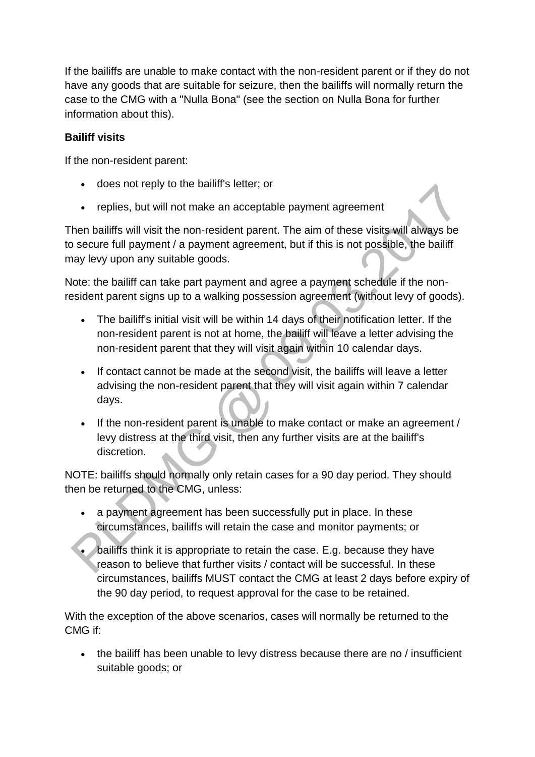If the bailiffs are unable to make contact with the non-resident parent or if they do not have any goods that are suitable for seizure, then the bailiffs will normally return the case to the CMG with a "Nulla Bona" (see the section on Nulla Bona for further information about this).

### **Bailiff visits**

If the non-resident parent:

- does not reply to the bailiff's letter; or
- replies, but will not make an acceptable payment agreement

Then bailiffs will visit the non-resident parent. The aim of these visits will always be to secure full payment / a payment agreement, but if this is not possible, the bailiff may levy upon any suitable goods.

Note: the bailiff can take part payment and agree a payment schedule if the nonresident parent signs up to a walking possession agreement (without levy of goods).

- The bailiff's initial visit will be within 14 days of their notification letter. If the non-resident parent is not at home, the bailiff will leave a letter advising the non-resident parent that they will visit again within 10 calendar days.
- If contact cannot be made at the second visit, the bailiffs will leave a letter advising the non-resident parent that they will visit again within 7 calendar days.
- If the non-resident parent is unable to make contact or make an agreement / levy distress at the third visit, then any further visits are at the bailiff's discretion.

NOTE: bailiffs should normally only retain cases for a 90 day period. They should then be returned to the CMG, unless:

- a payment agreement has been successfully put in place. In these circumstances, bailiffs will retain the case and monitor payments; or
- bailiffs think it is appropriate to retain the case. E.g. because they have reason to believe that further visits / contact will be successful. In these circumstances, bailiffs MUST contact the CMG at least 2 days before expiry of the 90 day period, to request approval for the case to be retained.

With the exception of the above scenarios, cases will normally be returned to the CMG if:

• the bailiff has been unable to levy distress because there are no / insufficient suitable goods; or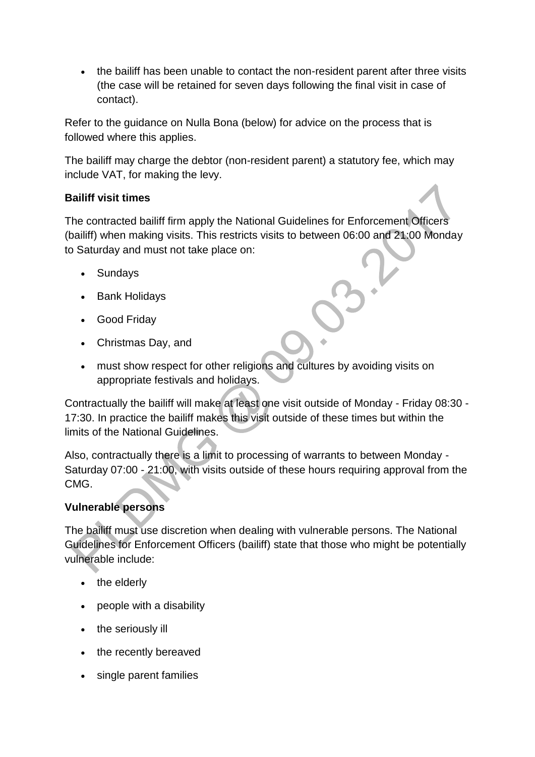the bailiff has been unable to contact the non-resident parent after three visits (the case will be retained for seven days following the final visit in case of contact).

Refer to the guidance on Nulla Bona (below) for advice on the process that is followed where this applies.

The bailiff may charge the debtor (non-resident parent) a statutory fee, which may include VAT, for making the levy.

### **Bailiff visit times**

The contracted bailiff firm apply the National Guidelines for Enforcement Officers (bailiff) when making visits. This restricts visits to between 06:00 and 21:00 Monday to Saturday and must not take place on:

- Sundays
- Bank Holidays
- Good Friday
- Christmas Day, and
- must show respect for other religions and cultures by avoiding visits on appropriate festivals and holidays.

Contractually the bailiff will make at least one visit outside of Monday - Friday 08:30 - 17:30. In practice the bailiff makes this visit outside of these times but within the limits of the National Guidelines.

Also, contractually there is a limit to processing of warrants to between Monday - Saturday 07:00 - 21:00, with visits outside of these hours requiring approval from the CMG.

### **Vulnerable persons**

The bailiff must use discretion when dealing with vulnerable persons. The National Guidelines for Enforcement Officers (bailiff) state that those who might be potentially vulnerable include:

- the elderly
- people with a disability
- the seriously ill
- the recently bereaved
- single parent families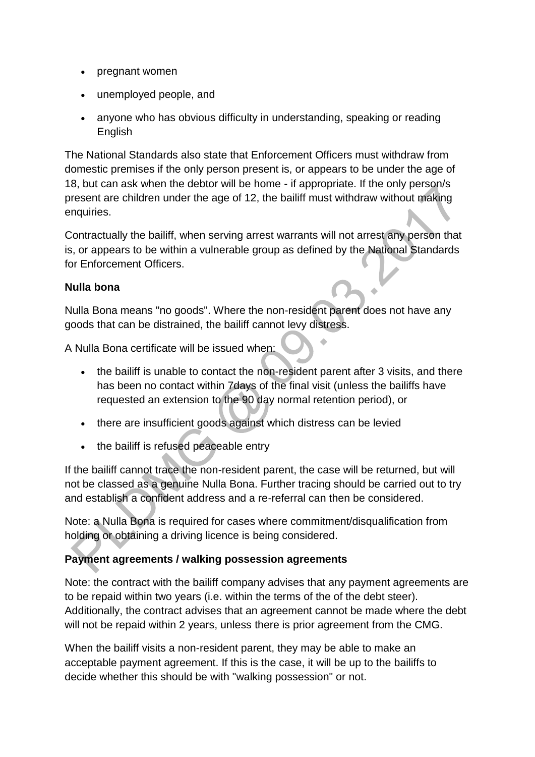- pregnant women
- unemployed people, and
- anyone who has obvious difficulty in understanding, speaking or reading English

The National Standards also state that Enforcement Officers must withdraw from domestic premises if the only person present is, or appears to be under the age of 18, but can ask when the debtor will be home - if appropriate. If the only person/s present are children under the age of 12, the bailiff must withdraw without making enquiries.

Contractually the bailiff, when serving arrest warrants will not arrest any person that is, or appears to be within a vulnerable group as defined by the National Standards for Enforcement Officers.

### **Nulla bona**

Nulla Bona means "no goods". Where the non-resident parent does not have any goods that can be distrained, the bailiff cannot levy distress.

A Nulla Bona certificate will be issued when:

- the bailiff is unable to contact the non-resident parent after 3 visits, and there has been no contact within 7days of the final visit (unless the bailiffs have requested an extension to the 90 day normal retention period), or
- there are insufficient goods against which distress can be levied
- the bailiff is refused peaceable entry

If the bailiff cannot trace the non-resident parent, the case will be returned, but will not be classed as a genuine Nulla Bona. Further tracing should be carried out to try and establish a confident address and a re-referral can then be considered.

Note: a Nulla Bona is required for cases where commitment/disqualification from holding or obtaining a driving licence is being considered.

### **Payment agreements / walking possession agreements**

Note: the contract with the bailiff company advises that any payment agreements are to be repaid within two years (i.e. within the terms of the of the debt steer). Additionally, the contract advises that an agreement cannot be made where the debt will not be repaid within 2 years, unless there is prior agreement from the CMG.

When the bailiff visits a non-resident parent, they may be able to make an acceptable payment agreement. If this is the case, it will be up to the bailiffs to decide whether this should be with "walking possession" or not.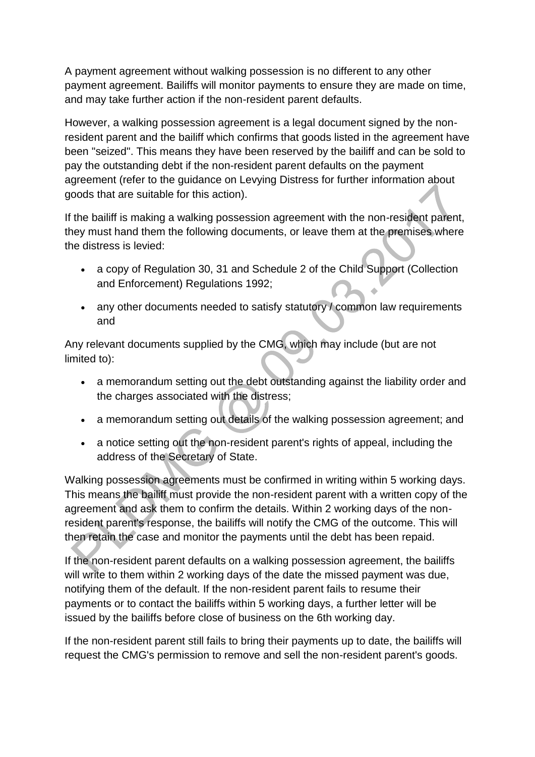A payment agreement without walking possession is no different to any other payment agreement. Bailiffs will monitor payments to ensure they are made on time, and may take further action if the non-resident parent defaults.

However, a walking possession agreement is a legal document signed by the nonresident parent and the bailiff which confirms that goods listed in the agreement have been "seized". This means they have been reserved by the bailiff and can be sold to pay the outstanding debt if the non-resident parent defaults on the payment agreement (refer to the guidance on Levying Distress for further information about goods that are suitable for this action).

If the bailiff is making a walking possession agreement with the non-resident parent, they must hand them the following documents, or leave them at the premises where the distress is levied:

- a copy of Regulation 30, 31 and Schedule 2 of the Child Support (Collection and Enforcement) Regulations 1992;
- any other documents needed to satisfy statutory / common law requirements and

Any relevant documents supplied by the CMG, which may include (but are not limited to):

- a memorandum setting out the debt outstanding against the liability order and the charges associated with the distress;
- a memorandum setting out details of the walking possession agreement; and
- a notice setting out the non-resident parent's rights of appeal, including the address of the Secretary of State.

Walking possession agreements must be confirmed in writing within 5 working days. This means the bailiff must provide the non-resident parent with a written copy of the agreement and ask them to confirm the details. Within 2 working days of the nonresident parent's response, the bailiffs will notify the CMG of the outcome. This will then retain the case and monitor the payments until the debt has been repaid.

If the non-resident parent defaults on a walking possession agreement, the bailiffs will write to them within 2 working days of the date the missed payment was due, notifying them of the default. If the non-resident parent fails to resume their payments or to contact the bailiffs within 5 working days, a further letter will be issued by the bailiffs before close of business on the 6th working day.

If the non-resident parent still fails to bring their payments up to date, the bailiffs will request the CMG's permission to remove and sell the non-resident parent's goods.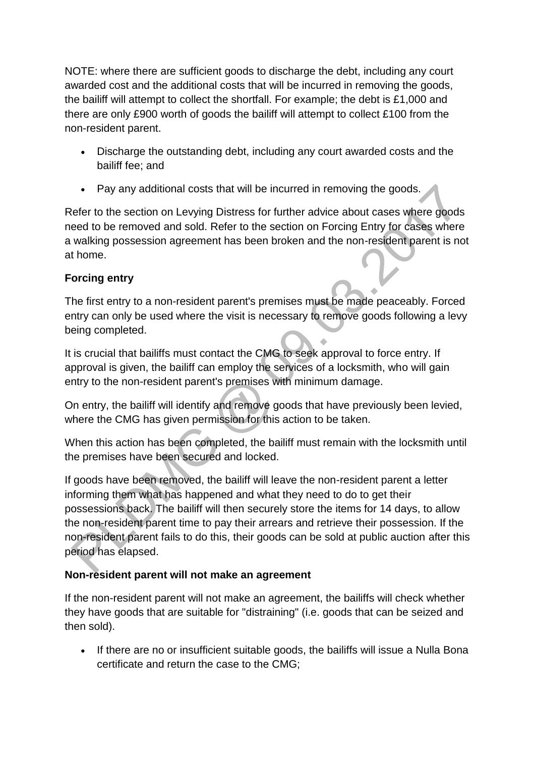NOTE: where there are sufficient goods to discharge the debt, including any court awarded cost and the additional costs that will be incurred in removing the goods, the bailiff will attempt to collect the shortfall. For example; the debt is £1,000 and there are only £900 worth of goods the bailiff will attempt to collect £100 from the non-resident parent.

- Discharge the outstanding debt, including any court awarded costs and the bailiff fee; and
- Pay any additional costs that will be incurred in removing the goods.

Refer to the section on Levying Distress for further advice about cases where goods need to be removed and sold. Refer to the section on Forcing Entry for cases where a walking possession agreement has been broken and the non-resident parent is not at home.

# **Forcing entry**

The first entry to a non-resident parent's premises must be made peaceably. Forced entry can only be used where the visit is necessary to remove goods following a levy being completed.

It is crucial that bailiffs must contact the CMG to seek approval to force entry. If approval is given, the bailiff can employ the services of a locksmith, who will gain entry to the non-resident parent's premises with minimum damage.

On entry, the bailiff will identify and remove goods that have previously been levied, where the CMG has given permission for this action to be taken.

When this action has been completed, the bailiff must remain with the locksmith until the premises have been secured and locked.

If goods have been removed, the bailiff will leave the non-resident parent a letter informing them what has happened and what they need to do to get their possessions back. The bailiff will then securely store the items for 14 days, to allow the non-resident parent time to pay their arrears and retrieve their possession. If the non-resident parent fails to do this, their goods can be sold at public auction after this period has elapsed.

### **Non-resident parent will not make an agreement**

If the non-resident parent will not make an agreement, the bailiffs will check whether they have goods that are suitable for "distraining" (i.e. goods that can be seized and then sold).

• If there are no or insufficient suitable goods, the bailiffs will issue a Nulla Bona certificate and return the case to the CMG;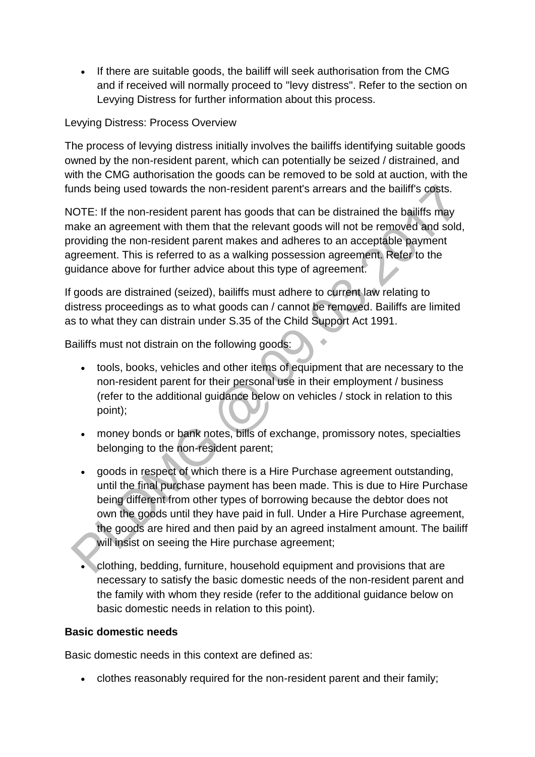• If there are suitable goods, the bailiff will seek authorisation from the CMG and if received will normally proceed to "levy distress". Refer to the section on Levying Distress for further information about this process.

### Levying Distress: Process Overview

The process of levying distress initially involves the bailiffs identifying suitable goods owned by the non-resident parent, which can potentially be seized / distrained, and with the CMG authorisation the goods can be removed to be sold at auction, with the funds being used towards the non-resident parent's arrears and the bailiff's costs.

NOTE: If the non-resident parent has goods that can be distrained the bailiffs may make an agreement with them that the relevant goods will not be removed and sold, providing the non-resident parent makes and adheres to an acceptable payment agreement. This is referred to as a walking possession agreement. Refer to the guidance above for further advice about this type of agreement.

If goods are distrained (seized), bailiffs must adhere to current law relating to distress proceedings as to what goods can / cannot be removed. Bailiffs are limited as to what they can distrain under S.35 of the Child Support Act 1991.

Bailiffs must not distrain on the following goods:

- tools, books, vehicles and other items of equipment that are necessary to the non-resident parent for their personal use in their employment / business (refer to the additional guidance below on vehicles / stock in relation to this point);
- money bonds or bank notes, bills of exchange, promissory notes, specialties belonging to the non-resident parent;
- goods in respect of which there is a Hire Purchase agreement outstanding, until the final purchase payment has been made. This is due to Hire Purchase being different from other types of borrowing because the debtor does not own the goods until they have paid in full. Under a Hire Purchase agreement, the goods are hired and then paid by an agreed instalment amount. The bailiff will insist on seeing the Hire purchase agreement;
- clothing, bedding, furniture, household equipment and provisions that are necessary to satisfy the basic domestic needs of the non-resident parent and the family with whom they reside (refer to the additional guidance below on basic domestic needs in relation to this point).

### **Basic domestic needs**

Basic domestic needs in this context are defined as:

clothes reasonably required for the non-resident parent and their family;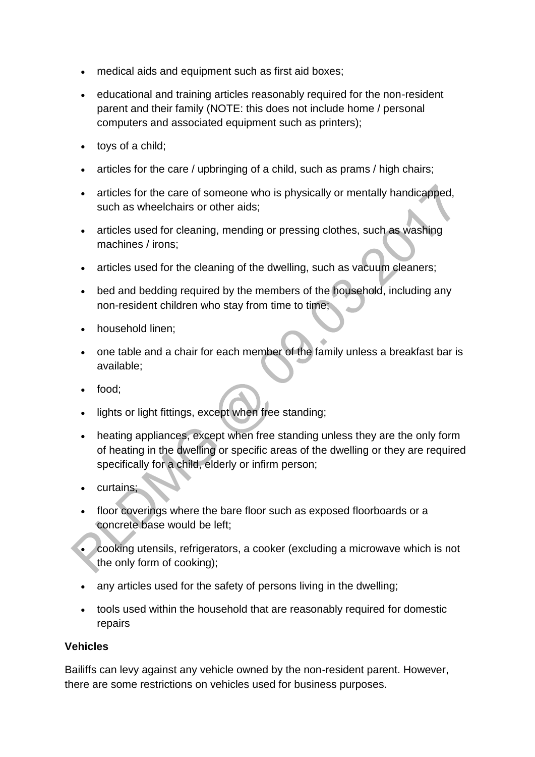- medical aids and equipment such as first aid boxes;
- educational and training articles reasonably required for the non-resident parent and their family (NOTE: this does not include home / personal computers and associated equipment such as printers);
- toys of a child:
- articles for the care / upbringing of a child, such as prams / high chairs;
- articles for the care of someone who is physically or mentally handicapped, such as wheelchairs or other aids;
- articles used for cleaning, mending or pressing clothes, such as washing machines / irons;
- articles used for the cleaning of the dwelling, such as vacuum cleaners;
- bed and bedding required by the members of the household, including any non-resident children who stay from time to time;
- household linen;
- one table and a chair for each member of the family unless a breakfast bar is available;
- food:
- lights or light fittings, except when free standing;
- heating appliances, except when free standing unless they are the only form of heating in the dwelling or specific areas of the dwelling or they are required specifically for a child, elderly or infirm person;
- curtains;
- floor coverings where the bare floor such as exposed floorboards or a concrete base would be left;
- cooking utensils, refrigerators, a cooker (excluding a microwave which is not the only form of cooking);
- any articles used for the safety of persons living in the dwelling;
- tools used within the household that are reasonably required for domestic repairs

### **Vehicles**

Bailiffs can levy against any vehicle owned by the non-resident parent. However, there are some restrictions on vehicles used for business purposes.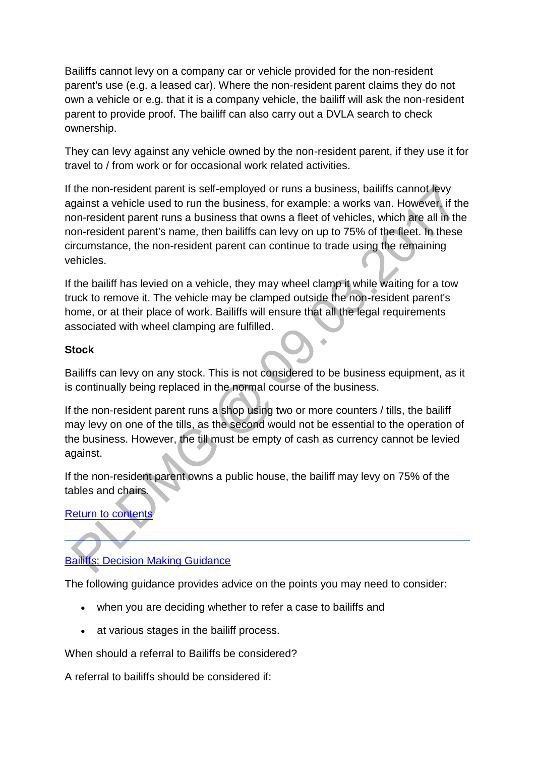Bailiffs cannot levy on a company car or vehicle provided for the non-resident parent's use (e.g. a leased car). Where the non-resident parent claims they do not own a vehicle or e.g. that it is a company vehicle, the bailiff will ask the non-resident parent to provide proof. The bailiff can also carry out a DVLA search to check ownership.

They can levy against any vehicle owned by the non-resident parent, if they use it for travel to / from work or for occasional work related activities.

If the non-resident parent is self-employed or runs a business, bailiffs cannot levy against a vehicle used to run the business, for example: a works van. However, if the non-resident parent runs a business that owns a fleet of vehicles, which are all in the non-resident parent's name, then bailiffs can levy on up to 75% of the fleet. In these circumstance, the non-resident parent can continue to trade using the remaining vehicles.

If the bailiff has levied on a vehicle, they may wheel clamp it while waiting for a tow truck to remove it. The vehicle may be clamped outside the non-resident parent's home, or at their place of work. Bailiffs will ensure that all the legal requirements associated with wheel clamping are fulfilled.

### **Stock**

Bailiffs can levy on any stock. This is not considered to be business equipment, as it is continually being replaced in the normal course of the business.

If the non-resident parent runs a shop using two or more counters / tills, the bailiff may levy on one of the tills, as the second would not be essential to the operation of the business. However, the till must be empty of cash as currency cannot be levied against.

If the non-resident parent owns a public house, the bailiff may levy on 75% of the tables and chairs.

**Return to content** 

# [Bailiffs; Decision Making Guidance](http://np-cmg-sharepoint.link2.gpn.gov.uk/sites/policy-law-and-decision-making-guidance/Pages/Legal%20Enforcement%20-%20England%20and%20Wales/Bailiffs.aspx#bailiffsdmg)

The following guidance provides advice on the points you may need to consider:

- when you are deciding whether to refer a case to bailiffs and
- at various stages in the bailiff process.

When should a referral to Bailiffs be considered?

A referral to bailiffs should be considered if: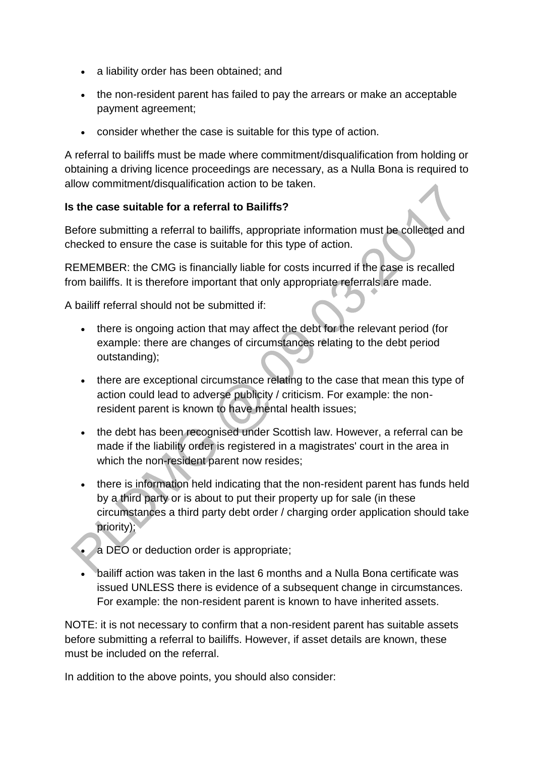- a liability order has been obtained; and
- the non-resident parent has failed to pay the arrears or make an acceptable payment agreement;
- consider whether the case is suitable for this type of action.

A referral to bailiffs must be made where commitment/disqualification from holding or obtaining a driving licence proceedings are necessary, as a Nulla Bona is required to allow commitment/disqualification action to be taken.

### **Is the case suitable for a referral to Bailiffs?**

Before submitting a referral to bailiffs, appropriate information must be collected and checked to ensure the case is suitable for this type of action.

REMEMBER: the CMG is financially liable for costs incurred if the case is recalled from bailiffs. It is therefore important that only appropriate referrals are made.

A bailiff referral should not be submitted if:

- there is ongoing action that may affect the debt for the relevant period (for example: there are changes of circumstances relating to the debt period outstanding);
- there are exceptional circumstance relating to the case that mean this type of action could lead to adverse publicity / criticism. For example: the nonresident parent is known to have mental health issues;
- the debt has been recognised under Scottish law. However, a referral can be made if the liability order is registered in a magistrates' court in the area in which the non-resident parent now resides;
- there is information held indicating that the non-resident parent has funds held by a third party or is about to put their property up for sale (in these circumstances a third party debt order / charging order application should take priority);
- a DEO or deduction order is appropriate;
- bailiff action was taken in the last 6 months and a Nulla Bona certificate was issued UNLESS there is evidence of a subsequent change in circumstances. For example: the non-resident parent is known to have inherited assets.

NOTE: it is not necessary to confirm that a non-resident parent has suitable assets before submitting a referral to bailiffs. However, if asset details are known, these must be included on the referral.

In addition to the above points, you should also consider: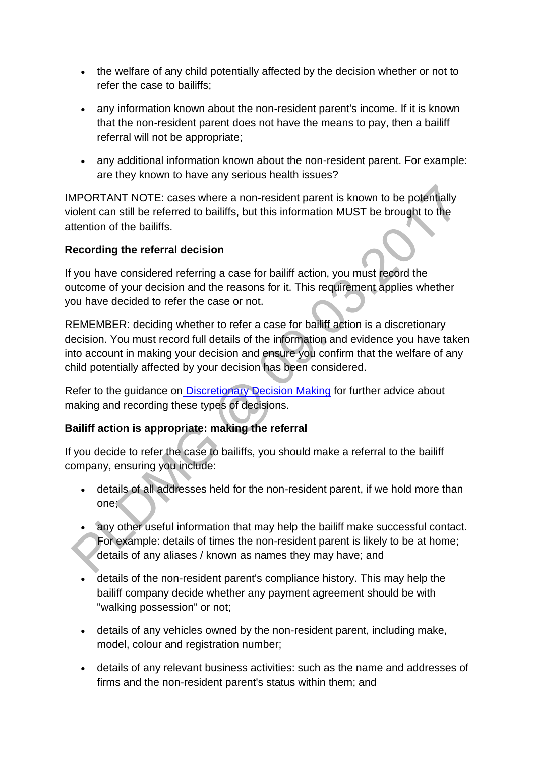- the welfare of any child potentially affected by the decision whether or not to refer the case to bailiffs;
- any information known about the non-resident parent's income. If it is known that the non-resident parent does not have the means to pay, then a bailiff referral will not be appropriate;
- any additional information known about the non-resident parent. For example: are they known to have any serious health issues?

IMPORTANT NOTE: cases where a non-resident parent is known to be potentially violent can still be referred to bailiffs, but this information MUST be brought to the attention of the bailiffs.

### **Recording the referral decision**

If you have considered referring a case for bailiff action, you must record the outcome of your decision and the reasons for it. This requirement applies whether you have decided to refer the case or not.

REMEMBER: deciding whether to refer a case for bailiff action is a discretionary decision. You must record full details of the information and evidence you have taken into account in making your decision and ensure you confirm that the welfare of any child potentially affected by your decision has been considered.

Refer to the guidance on [Discretionary Decision Making](http://np-cmg-sharepoint.link2.gpn.gov.uk/sites/policy-law-and-decision-making-guidance/Pages/Legal%20Enforcement%20-%20England%20and%20Wales/Bailiffs.aspx?ControlMode=Edit&DisplayMode=Design#http%3a//np-cmg-sharepoint.link2.gpn.gov.uk/sites/policy-law-and-decision-making-guidance/Pages/Evidence%20and%20decision%20making/Evidence-and-decision-making.aspx) for further advice about making and recording these types of decisions.

### **Bailiff action is appropriate: making the referral**

If you decide to refer the case to bailiffs, you should make a referral to the bailiff company, ensuring you include:

- details of all addresses held for the non-resident parent, if we hold more than one;
- any other useful information that may help the bailiff make successful contact. For example: details of times the non-resident parent is likely to be at home; details of any aliases / known as names they may have; and
- details of the non-resident parent's compliance history. This may help the bailiff company decide whether any payment agreement should be with "walking possession" or not;
- details of any vehicles owned by the non-resident parent, including make, model, colour and registration number;
- details of any relevant business activities: such as the name and addresses of firms and the non-resident parent's status within them; and